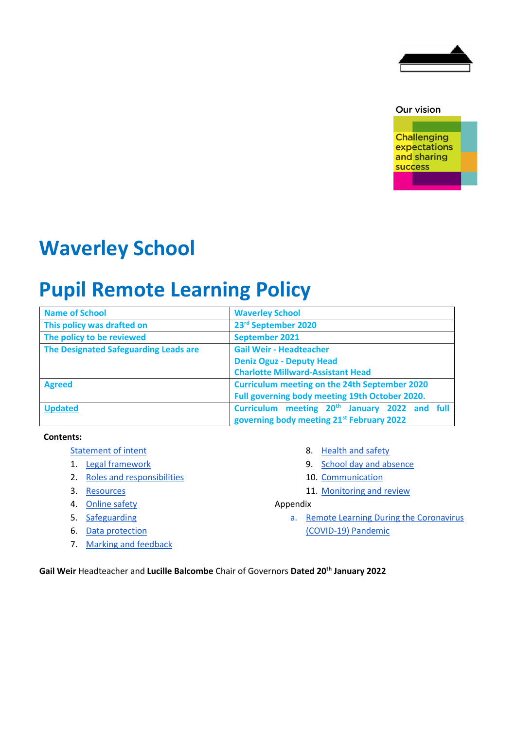

Our vision

**Challenging** expectations and sharing **success** 

# **Waverley School**

# **Pupil Remote Learning Policy**

| <b>Name of School</b>                 | <b>Waverley School</b>                                    |
|---------------------------------------|-----------------------------------------------------------|
| This policy was drafted on            | 23rd September 2020                                       |
| The policy to be reviewed             | September 2021                                            |
| The Designated Safeguarding Leads are | <b>Gail Weir - Headteacher</b>                            |
|                                       | <b>Deniz Oguz - Deputy Head</b>                           |
|                                       | <b>Charlotte Millward-Assistant Head</b>                  |
| <b>Agreed</b>                         | <b>Curriculum meeting on the 24th September 2020</b>      |
|                                       | Full governing body meeting 19th October 2020.            |
| <b>Updated</b>                        | Curriculum meeting 20 <sup>th</sup> January 2022 and full |
|                                       | governing body meeting 21st February 2022                 |

#### **Contents:**

- [Statement of intent](#page-0-0)
- 1. [Legal framework](#page-12-0)
- 2. Roles and responsibilities
- 3. [Resources](#page-4-0)
- 4. [Online safety](#page-5-0)
- 5. [Safeguarding](#page-6-0)
- 6. [Data protection](#page-7-0)
- 7. [Marking and feedback](#page-7-1)
- 8. [Health and safety](#page-7-2)
- 9. [School day and absence](#page-7-3)
- 10. [Communication](#page-8-0)
- <span id="page-0-0"></span>11. [Monitoring and review](#page-8-1)

#### Appendix

a. [Remote Learning During the Coronavirus](#page-9-0)  [\(COVID-19\) Pandemic](#page-9-0)

**Gail Weir** Headteacher and **Lucille Balcombe** Chair of Governors **Dated 20th January 2022**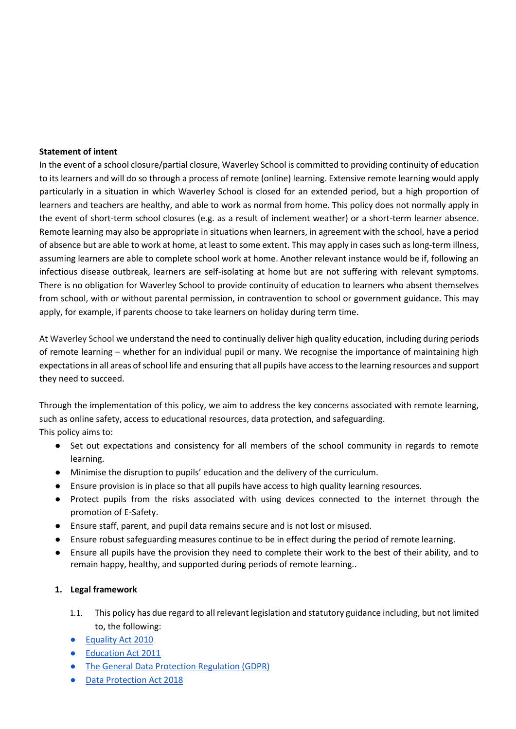#### **Statement of intent**

In the event of a school closure/partial closure, Waverley School is committed to providing continuity of education to its learners and will do so through a process of remote (online) learning. Extensive remote learning would apply particularly in a situation in which Waverley School is closed for an extended period, but a high proportion of learners and teachers are healthy, and able to work as normal from home. This policy does not normally apply in the event of short-term school closures (e.g. as a result of inclement weather) or a short-term learner absence. Remote learning may also be appropriate in situations when learners, in agreement with the school, have a period of absence but are able to work at home, at least to some extent. This may apply in cases such as long-term illness, assuming learners are able to complete school work at home. Another relevant instance would be if, following an infectious disease outbreak, learners are self-isolating at home but are not suffering with relevant symptoms. There is no obligation for Waverley School to provide continuity of education to learners who absent themselves from school, with or without parental permission, in contravention to school or government guidance. This may apply, for example, if parents choose to take learners on holiday during term time.

At Waverley School we understand the need to continually deliver high quality education, including during periods of remote learning – whether for an individual pupil or many. We recognise the importance of maintaining high expectations in all areas of school life and ensuring that all pupils have access to the learning resources and support they need to succeed.

Through the implementation of this policy, we aim to address the key concerns associated with remote learning, such as online safety, access to educational resources, data protection, and safeguarding. This policy aims to:

- Set out expectations and consistency for all members of the school community in regards to remote learning.
- Minimise the disruption to pupils' education and the delivery of the curriculum.
- Ensure provision is in place so that all pupils have access to high quality learning resources.
- Protect pupils from the risks associated with using devices connected to the internet through the promotion of E-Safety.
- Ensure staff, parent, and pupil data remains secure and is not lost or misused.
- Ensure robust safeguarding measures continue to be in effect during the period of remote learning.
- Ensure all pupils have the provision they need to complete their work to the best of their ability, and to remain happy, healthy, and supported during periods of remote learning..

## **1. Legal framework**

- 1.1. This policy has due regard to all relevant legislation and statutory guidance including, but not limited to, the following:
- [Equality Act 2010](https://www.legislation.gov.uk/ukpga/2010/15/contents)
- [Education Act 2011](https://www.legislation.gov.uk/ukpga/2011/21/contents/enacted)
- [The General Data Protection Regulation \(GDPR\)](https://www.gov.uk/government/publications/guide-to-the-general-data-protection-regulation)
- [Data Protection Act 2018](https://www.legislation.gov.uk/ukpga/2018/12/contents/enacted)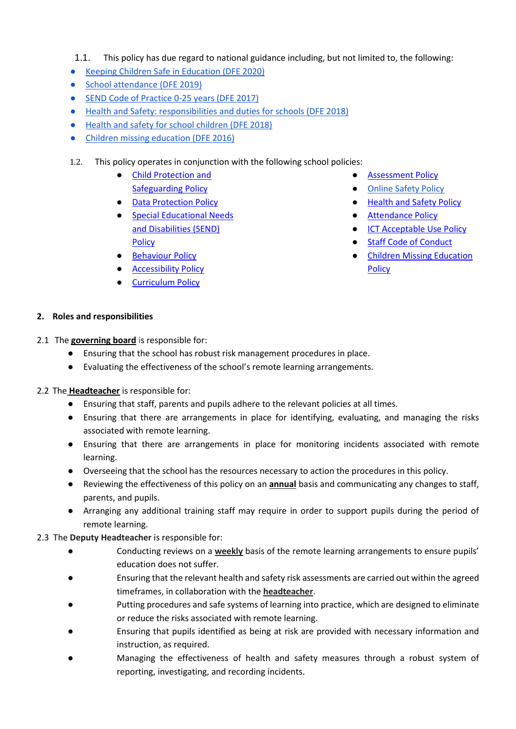- 1.1. This policy has due regard to national guidance including, but not limited to, the following:
- [Keeping Children Safe in Education \(DFE 2020\)](https://www.gov.uk/government/publications/keeping-children-safe-in-education--2)
- [School attendance \(DFE 2019\)](https://www.gov.uk/government/publications/school-attendance)
- [SEND Code of Practice 0-25 years \(DFE 2017\)](https://www.gov.uk/government/publications/send-code-of-practice-0-to-25)
- [Health and Safety: responsibilities and duties for schools \(DFE 2018\)](https://www.gov.uk/government/publications/health-and-safety-advice-for-schools/responsibilities-and-duties-for-schools)
- [Health and safety for school children \(DFE 2018\)](https://www.gov.uk/health-safety-school-children)
- [Children missing education \(DFE 2016\)](https://www.gov.uk/government/publications/children-missing-education)
- 1.2. This policy operates in conjunction with the following school policies:
	- [Child Protection and](http://waverley-school.com/wp-content/uploads/2021/05/September-20-child-protection-policy-with-coronavirus-update-updated-Nov-20-Feb-21.pdf)  [Safeguarding Policy](http://waverley-school.com/wp-content/uploads/2021/05/September-20-child-protection-policy-with-coronavirus-update-updated-Nov-20-Feb-21.pdf)
	- Data Protection Policy
	- Special Educational Needs [and Disabilities \(SEND\)](http://waverley-school.com/wp-content/uploads/2021/10/SEND-Policy-Sept-2019-updated-Sept-2021-2.pdf)  [Policy](http://waverley-school.com/wp-content/uploads/2021/10/SEND-Policy-Sept-2019-updated-Sept-2021-2.pdf)
	- [Behaviour Policy](http://waverley-school.com/wp-content/uploads/2021/10/13-behaviour-policy-and-statment-Jan-2020-updated-Sept-2020.pdf)
	- [Accessibility Policy](http://waverley-school.com/wp-content/uploads/2021/10/13-Equality-and-Accesibility-Action-Polan-policy-updated-Nov-2020.pdf)
	- [Curriculum Policy](http://waverley-school.com/wp-content/uploads/2021/10/Curriculum-Policy-Summary-2020-21.pdf)
- [Assessment Policy](http://waverley-school.com/wp-content/uploads/2021/10/Assessment-policy-2020-2021.pdf)
- Online Safety Policy
- [Health and Safety Policy](http://waverley-school.com/wp-content/uploads/2021/03/HealthandSafetyPolicyNov-2020.pdf)
- [Attendance Policy](http://waverley-school.com/wp-content/uploads/2021/07/Primary-Attendance-and-Absence-Policy_April-2021-29.6.21.pdf)
- [ICT Acceptable Use Policy](http://waverley-school.com/wp-content/uploads/2021/07/Waverley-School-Acceptable-Use-Policy.pdf-4.7.21.pdf)
- [Staff Code of Conduct](http://waverley-school.com/wp-content/uploads/2021/10/item-5a-Waverley-School-Code-of-Conduct-Model-for-Schools-August-2021_.pdf)
- [Children Missing Education](http://waverley-school.com/wp-content/uploads/2021/10/13-Children-missing-education-updated-Sept-2020.pdf)  **[Policy](http://waverley-school.com/wp-content/uploads/2021/10/13-Children-missing-education-updated-Sept-2020.pdf)**

- **2. Roles and responsibilities**
- 2.1 The **governing board** is responsible for:
	- Ensuring that the school has robust risk management procedures in place.
	- Evaluating the effectiveness of the school's remote learning arrangements.
- 2.2 The **Headteacher** is responsible for:
	- Ensuring that staff, parents and pupils adhere to the relevant policies at all times.
	- Ensuring that there are arrangements in place for identifying, evaluating, and managing the risks associated with remote learning.
	- Ensuring that there are arrangements in place for monitoring incidents associated with remote learning.
	- Overseeing that the school has the resources necessary to action the procedures in this policy.
	- Reviewing the effectiveness of this policy on an **annual** basis and communicating any changes to staff, parents, and pupils.
	- Arranging any additional training staff may require in order to support pupils during the period of remote learning.
- 2.3 The **Deputy Headteacher** is responsible for:
	- Conducting reviews on a weekly basis of the remote learning arrangements to ensure pupils' education does not suffer.
	- Ensuring that the relevant health and safety risk assessments are carried out within the agreed timeframes, in collaboration with the **headteacher**.
	- Putting procedures and safe systems of learning into practice, which are designed to eliminate or reduce the risks associated with remote learning.
	- Ensuring that pupils identified as being at risk are provided with necessary information and instruction, as required.
	- Managing the effectiveness of health and safety measures through a robust system of reporting, investigating, and recording incidents.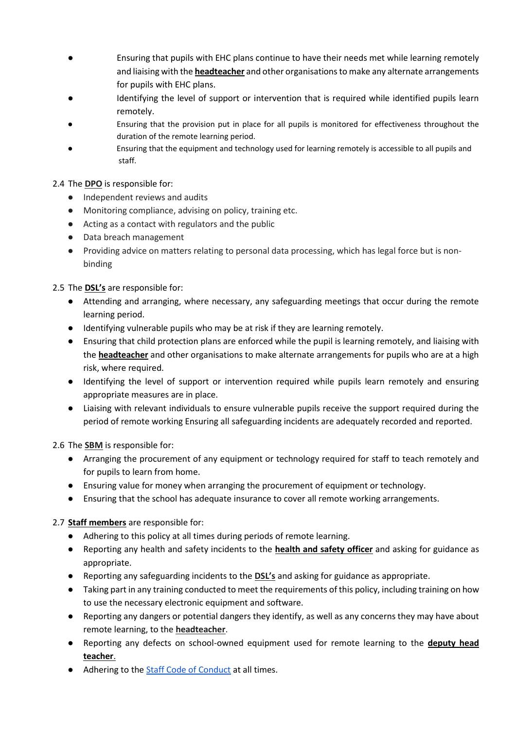- Ensuring that pupils with EHC plans continue to have their needs met while learning remotely and liaising with the **headteacher** and other organisations to make any alternate arrangements for pupils with EHC plans.
- Identifying the level of support or intervention that is required while identified pupils learn remotely.
- Ensuring that the provision put in place for all pupils is monitored for effectiveness throughout the duration of the remote learning period.
- Ensuring that the equipment and technology used for learning remotely is accessible to all pupils and staff.

## 2.4 The **DPO** is responsible for:

- Independent reviews and audits
- Monitoring compliance, advising on policy, training etc.
- Acting as a contact with regulators and the public
- Data breach management
- Providing advice on matters relating to personal data processing, which has legal force but is nonbinding

## 2.5 The **DSL's** are responsible for:

- Attending and arranging, where necessary, any safeguarding meetings that occur during the remote learning period.
- Identifying vulnerable pupils who may be at risk if they are learning remotely.
- Ensuring that child protection plans are enforced while the pupil is learning remotely, and liaising with the **headteacher** and other organisations to make alternate arrangements for pupils who are at a high risk, where required.
- Identifying the level of support or intervention required while pupils learn remotely and ensuring appropriate measures are in place.
- Liaising with relevant individuals to ensure vulnerable pupils receive the support required during the period of remote working Ensuring all safeguarding incidents are adequately recorded and reported.

2.6 The **SBM** is responsible for:

- Arranging the procurement of any equipment or technology required for staff to teach remotely and for pupils to learn from home.
- Ensuring value for money when arranging the procurement of equipment or technology.
- Ensuring that the school has adequate insurance to cover all remote working arrangements.

## 2.7 **Staff members** are responsible for:

- Adhering to this policy at all times during periods of remote learning.
- Reporting any health and safety incidents to the **health and safety officer** and asking for guidance as appropriate.
- Reporting any safeguarding incidents to the **DSL's** and asking for guidance as appropriate.
- Taking part in any training conducted to meet the requirements of this policy, including training on how to use the necessary electronic equipment and software.
- Reporting any dangers or potential dangers they identify, as well as any concerns they may have about remote learning, to the **headteacher**.
- Reporting any defects on school-owned equipment used for remote learning to the **deputy head teacher**.
- Adhering to th[e Staff Code of Conduct](https://docs.google.com/document/d/1pQ6SEju_UXlxNQiIwzsVcmkEzXoKpdCuUgs9XsaKaEM/edit?usp=sharing) at all times.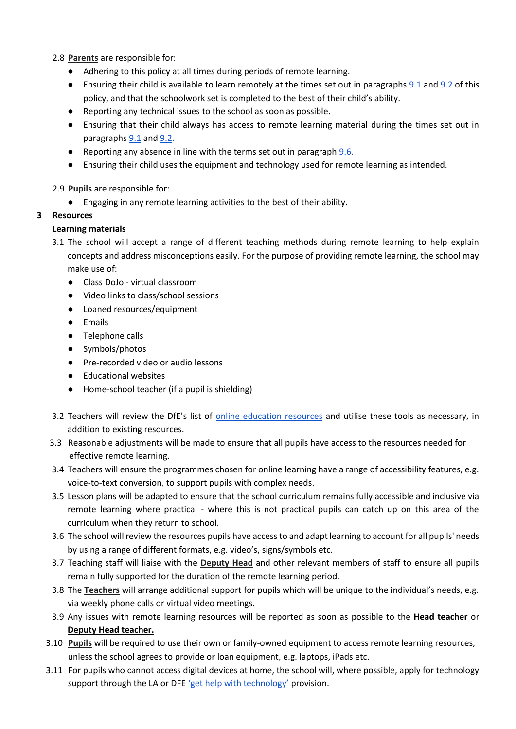2.8 **Parents** are responsible for:

- Adhering to this policy at all times during periods of remote learning.
- Ensuring their child is available to learn remotely at the times set out in paragraphs [9.1](#page-7-4) and [9.2](#page-7-5) of this policy, and that the schoolwork set is completed to the best of their child's ability.
- Reporting any technical issues to the school as soon as possible.
- Ensuring that their child always has access to remote learning material during the times set out in paragraphs [9.1](#page-7-4) and [9.2.](#page-7-5)
- Reporting any absence in line with the terms set out in paragraph [9.6.](#page-8-2)
- Ensuring their child uses the equipment and technology used for remote learning as intended.
- 2.9 **Pupils** are responsible for:
	- Engaging in any remote learning activities to the best of their ability.

## <span id="page-4-0"></span>**3 Resources**

## **Learning materials**

- 3.1 The school will accept a range of different teaching methods during remote learning to help explain concepts and address misconceptions easily. For the purpose of providing remote learning, the school may make use of:
	- Class DoJo virtual classroom
	- Video links to class/school sessions
	- Loaned resources/equipment
	- Emails
	- Telephone calls
	- Symbols/photos
	- Pre-recorded video or audio lessons
	- Educational websites
	- Home-school teacher (if a pupil is shielding)
- 3.2 Teachers will review the DfE's list of [online education resources](https://www.gov.uk/government/publications/coronavirus-covid-19-online-education-resources) and utilise these tools as necessary, in addition to existing resources.
- 3.3 Reasonable adjustments will be made to ensure that all pupils have access to the resources needed for effective remote learning.
- 3.4 Teachers will ensure the programmes chosen for online learning have a range of accessibility features, e.g. voice-to-text conversion, to support pupils with complex needs.
- 3.5 Lesson plans will be adapted to ensure that the school curriculum remains fully accessible and inclusive via remote learning where practical - where this is not practical pupils can catch up on this area of the curriculum when they return to school.
- 3.6 The school will review the resources pupils have access to and adapt learning to account for all pupils' needs by using a range of different formats, e.g. video's, signs/symbols etc.
- 3.7 Teaching staff will liaise with the **Deputy Head** and other relevant members of staff to ensure all pupils remain fully supported for the duration of the remote learning period.
- 3.8 The **Teachers** will arrange additional support for pupils which will be unique to the individual's needs, e.g. via weekly phone calls or virtual video meetings.
- 3.9 Any issues with remote learning resources will be reported as soon as possible to the **Head teacher** or **Deputy Head teacher.**
- 3.10 **Pupils** will be required to use their own or family-owned equipment to access remote learning resources, unless the school agrees to provide or loan equipment, e.g. laptops, iPads etc.
- 3.11 For pupils who cannot access digital devices at home, the school will, where possible, apply for technology support through the LA or DFE ['get help with technology'](https://get-help-with-tech.education.gov.uk/) provision.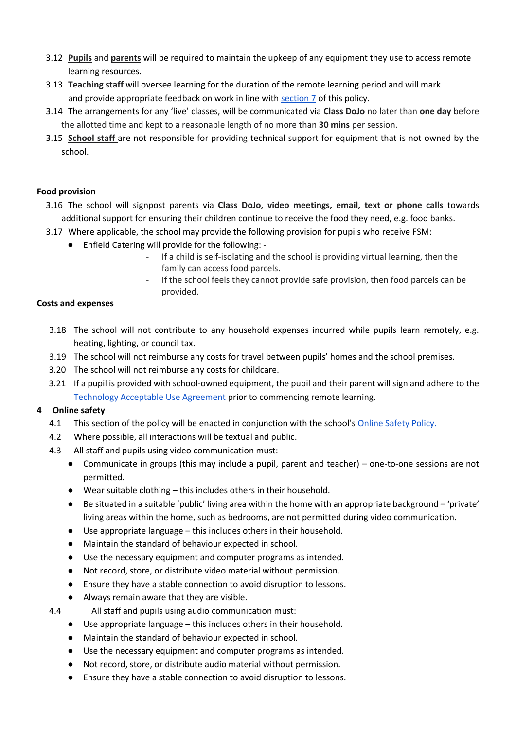- 3.12 **Pupils** and **parents** will be required to maintain the upkeep of any equipment they use to access remote learning resources.
- 3.13 **Teaching staff** will oversee learning for the duration of the remote learning period and will mark and provide appropriate feedback on work in line with [section 7](#page-7-1) of this policy.
- 3.14 The arrangements for any 'live' classes, will be communicated via **Class DoJo** no later than **one day** before the allotted time and kept to a reasonable length of no more than **30 mins** per session.
- 3.15 **School staff** are not responsible for providing technical support for equipment that is not owned by the school.

## **Food provision**

- 3.16 The school will signpost parents via **Class DoJo, video meetings, email, text or phone calls** towards additional support for ensuring their children continue to receive the food they need, e.g. food banks.
- 3.17 Where applicable, the school may provide the following provision for pupils who receive FSM:
	- Enfield Catering will provide for the following:
		- If a child is self-isolating and the school is providing virtual learning, then the family can access food parcels.
		- If the school feels they cannot provide safe provision, then food parcels can be provided.

## **Costs and expenses**

- 3.18 The school will not contribute to any household expenses incurred while pupils learn remotely, e.g. heating, lighting, or council tax.
- 3.19 The school will not reimburse any costs for travel between pupils' homes and the school premises.
- 3.20 The school will not reimburse any costs for childcare.
- 3.21 If a pupil is provided with school-owned equipment, the pupil and their parent will sign and adhere to the [Technology Acceptable Use Agreement](https://docs.google.com/document/d/15l-Cctb3lTxHT36xKOcK_EJ8cMiTaIqGzfJvc2U6vDw/edit?usp=sharing) prior to commencing remote learning.

## <span id="page-5-0"></span>**4 Online safety**

- 4.1 This section of the policy will be enacted in conjunction with the school's [Online Safety Policy.](https://drive.google.com/file/d/1-BMeaSqY2ywt_Qlh0LtVjhSsLD6bn8rG/view?usp=sharing)
- 4.2 Where possible, all interactions will be textual and public.
- 4.3 All staff and pupils using video communication must:
	- Communicate in groups (this may include a pupil, parent and teacher) one-to-one sessions are not permitted.
	- Wear suitable clothing this includes others in their household.
	- Be situated in a suitable 'public' living area within the home with an appropriate background 'private' living areas within the home, such as bedrooms, are not permitted during video communication.
	- Use appropriate language this includes others in their household.
	- Maintain the standard of behaviour expected in school.
	- Use the necessary equipment and computer programs as intended.
	- Not record, store, or distribute video material without permission.
	- Ensure they have a stable connection to avoid disruption to lessons.
	- Always remain aware that they are visible.
- 4.4 All staff and pupils using audio communication must:
	- Use appropriate language this includes others in their household.
	- Maintain the standard of behaviour expected in school.
	- Use the necessary equipment and computer programs as intended.
	- Not record, store, or distribute audio material without permission.
	- Ensure they have a stable connection to avoid disruption to lessons.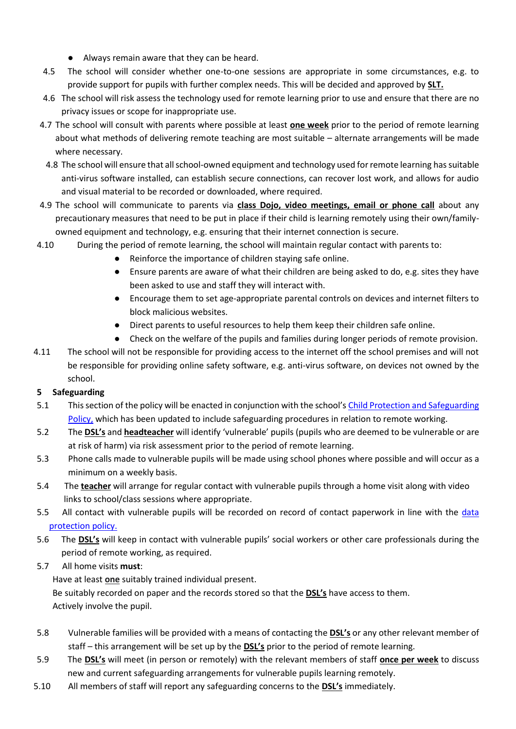- Always remain aware that they can be heard.
- 4.5 The school will consider whether one-to-one sessions are appropriate in some circumstances, e.g. to provide support for pupils with further complex needs. This will be decided and approved by **SLT.**
- 4.6 The school will risk assess the technology used for remote learning prior to use and ensure that there are no privacy issues or scope for inappropriate use.
- 4.7 The school will consult with parents where possible at least **one week** prior to the period of remote learning about what methods of delivering remote teaching are most suitable – alternate arrangements will be made where necessary.
	- 4.8 The school will ensure that all school-owned equipment and technology used for remote learning has suitable anti-virus software installed, can establish secure connections, can recover lost work, and allows for audio and visual material to be recorded or downloaded, where required.
- 4.9 The school will communicate to parents via **class Dojo, video meetings, email or phone call** about any precautionary measures that need to be put in place if their child is learning remotely using their own/familyowned equipment and technology, e.g. ensuring that their internet connection is secure.
- 4.10 During the period of remote learning, the school will maintain regular contact with parents to:
	- Reinforce the importance of children staying safe online.
	- Ensure parents are aware of what their children are being asked to do, e.g. sites they have been asked to use and staff they will interact with.
	- Encourage them to set age-appropriate parental controls on devices and internet filters to block malicious websites.
	- Direct parents to useful resources to help them keep their children safe online.
	- Check on the welfare of the pupils and families during longer periods of remote provision.
- 4.11 The school will not be responsible for providing access to the internet off the school premises and will not be responsible for providing online safety software, e.g. anti-virus software, on devices not owned by the school.

## <span id="page-6-0"></span>**5 Safeguarding**

- 5.1 This section of the policy will be enacted in conjunction with the school's [Child Protection and Safeguarding](http://waverley-school.com/wp-content/uploads/2021/09/Waverly-School-Child-protecton-policy-with-coronaviru-20-Feb-21.pdf)  [Policy,](http://waverley-school.com/wp-content/uploads/2021/09/Waverly-School-Child-protecton-policy-with-coronaviru-20-Feb-21.pdf) which has been updated to include safeguarding procedures in relation to remote working.
- 5.2 The **DSL's** and **headteacher** will identify 'vulnerable' pupils (pupils who are deemed to be vulnerable or are at risk of harm) via risk assessment prior to the period of remote learning.
- 5.3 Phone calls made to vulnerable pupils will be made using school phones where possible and will occur as a minimum on a weekly basis.
- 5.4 The **teacher** will arrange for regular contact with vulnerable pupils through a home visit along with video links to school/class sessions where appropriate.
- 5.5 All contact with vulnerable pupils will be recorded on record of contact paperwork in line with the [data](http://waverley-school.com/wp-content/uploads/2021/06/Waverley-School-data-Protection-Policy-Template.pdf)  [protection policy.](http://waverley-school.com/wp-content/uploads/2021/06/Waverley-School-data-Protection-Policy-Template.pdf)
- 5.6 The **DSL's** will keep in contact with vulnerable pupils' social workers or other care professionals during the period of remote working, as required.
- 5.7 All home visits **must**:

Have at least **one** suitably trained individual present.

Be suitably recorded on paper and the records stored so that the **DSL's** have access to them. Actively involve the pupil.

- 5.8 Vulnerable families will be provided with a means of contacting the **DSL's** or any other relevant member of staff – this arrangement will be set up by the **DSL's** prior to the period of remote learning.
- 5.9 The **DSL's** will meet (in person or remotely) with the relevant members of staff **once per week** to discuss new and current safeguarding arrangements for vulnerable pupils learning remotely.
- 5.10 All members of staff will report any safeguarding concerns to the **DSL's** immediately.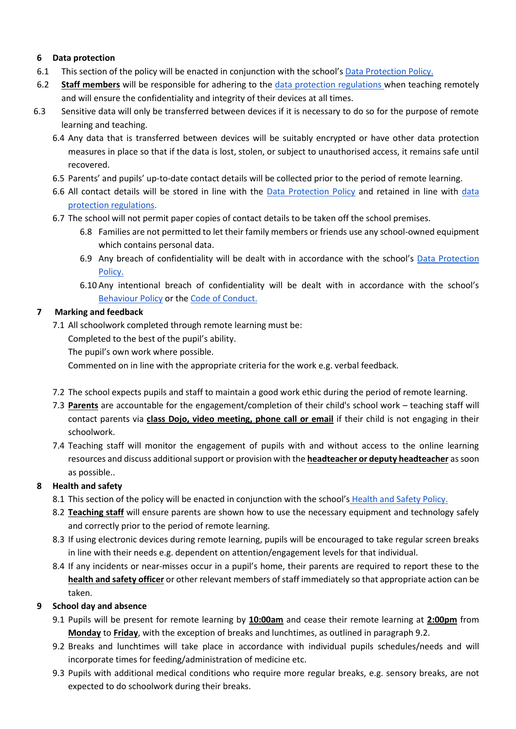## <span id="page-7-0"></span>**6 Data protection**

- 6.1 This section of the policy will be enacted in conjunction with the school's [Data Protection Policy.](https://drive.google.com/file/d/10nS82rWVYtqX4UXmjhtdbi2nisLy5DRG/view?usp=sharing)
- 6.2 **Staff members** will be responsible for adhering to the [data protection regulations](https://www.gov.uk/government/publications/guide-to-the-general-data-protection-regulation) when teaching remotely and will ensure the confidentiality and integrity of their devices at all times.
- 6.3 Sensitive data will only be transferred between devices if it is necessary to do so for the purpose of remote learning and teaching.
	- 6.4 Any data that is transferred between devices will be suitably encrypted or have other data protection measures in place so that if the data is lost, stolen, or subject to unauthorised access, it remains safe until recovered.
	- 6.5 Parents' and pupils' up-to-date contact details will be collected prior to the period of remote learning.
	- 6.6 All contact details will be stored in line with the [Data Protection Policy](https://drive.google.com/file/d/10nS82rWVYtqX4UXmjhtdbi2nisLy5DRG/view?usp=sharing) and retained in line with [data](https://www.gov.uk/government/publications/guide-to-the-general-data-protection-regulation)  [protection regulations.](https://www.gov.uk/government/publications/guide-to-the-general-data-protection-regulation)
	- 6.7 The school will not permit paper copies of contact details to be taken off the school premises.
		- 6.8 Families are not permitted to let their family members or friends use any school-owned equipment which contains personal data.
		- 6.9 Any breach of confidentiality will be dealt with in accordance with the school's [Data Protection](https://drive.google.com/file/d/10nS82rWVYtqX4UXmjhtdbi2nisLy5DRG/view?usp=sharing)  [Policy.](https://drive.google.com/file/d/10nS82rWVYtqX4UXmjhtdbi2nisLy5DRG/view?usp=sharing)
		- 6.10 Any intentional breach of confidentiality will be dealt with in accordance with the school's [Behaviour Policy](https://drive.google.com/file/d/1-PlNrC7OimwMyzabtSSJIbRtatURgv3i/view?usp=sharing) or the [Code of Conduct.](https://drive.google.com/file/d/1_JHKCz41XKhALaH9PbOM1xCLEu-JwkaQ/view?usp=sharing)

## <span id="page-7-1"></span>**7 Marking and feedback**

7.1 All schoolwork completed through remote learning must be:

Completed to the best of the pupil's ability.

The pupil's own work where possible.

Commented on in line with the appropriate criteria for the work e.g. verbal feedback.

- 7.2 The school expects pupils and staff to maintain a good work ethic during the period of remote learning.
- 7.3 **Parents** are accountable for the engagement/completion of their child's school work teaching staff will contact parents via **class Dojo, video meeting, phone call or email** if their child is not engaging in their schoolwork.
- 7.4 Teaching staff will monitor the engagement of pupils with and without access to the online learning resources and discuss additional support or provision with the **headteacher or deputy headteacher** as soon as possible..

## <span id="page-7-2"></span>**8 Health and safety**

- 8.1 This section of the policy will be enacted in conjunction with the school's [Health and Safety Policy.](https://drive.google.com/file/d/10u0CtvaZDkeNDyiFVqxRE4WS9GJuPysP/view?usp=sharing)
- 8.2 **Teaching staff** will ensure parents are shown how to use the necessary equipment and technology safely and correctly prior to the period of remote learning.
- 8.3 If using electronic devices during remote learning, pupils will be encouraged to take regular screen breaks in line with their needs e.g. dependent on attention/engagement levels for that individual.
- 8.4 If any incidents or near-misses occur in a pupil's home, their parents are required to report these to the **health and safety officer** or other relevant members of staff immediately so that appropriate action can be taken.

## <span id="page-7-4"></span><span id="page-7-3"></span>**9 School day and absence**

- 9.1 Pupils will be present for remote learning by **10:00am** and cease their remote learning at **2:00pm** from **Monday** to **Friday**, with the exception of breaks and lunchtimes, as outlined in paragraph 9.2.
- <span id="page-7-5"></span>9.2 Breaks and lunchtimes will take place in accordance with individual pupils schedules/needs and will incorporate times for feeding/administration of medicine etc.
- 9.3 Pupils with additional medical conditions who require more regular breaks, e.g. sensory breaks, are not expected to do schoolwork during their breaks.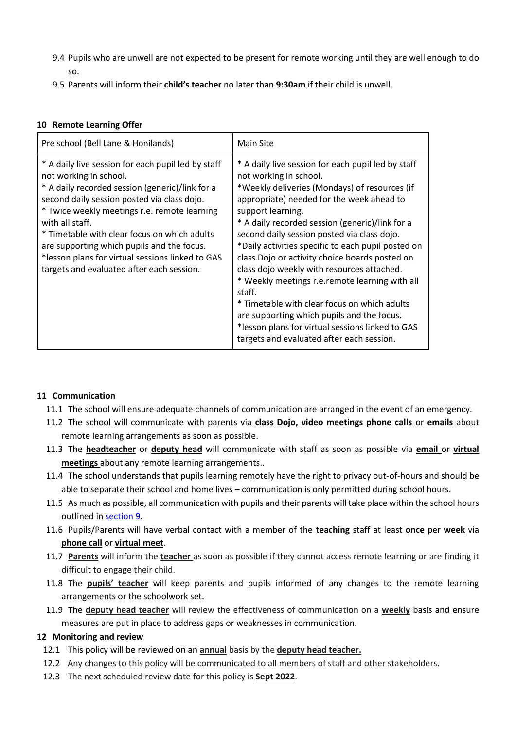- 9.4 Pupils who are unwell are not expected to be present for remote working until they are well enough to do so.
- <span id="page-8-2"></span>9.5 Parents will inform their **child's teacher** no later than **9:30am** if their child is unwell.

## <span id="page-8-0"></span>**10 Remote Learning Offer**

| Pre school (Bell Lane & Honilands)                                                                                                                                                                                                                                                                                                                                                                                                               | <b>Main Site</b>                                                                                                                                                                                                                                                                                                                                                                                                                                                                                                                                                                                                                                                                                                    |
|--------------------------------------------------------------------------------------------------------------------------------------------------------------------------------------------------------------------------------------------------------------------------------------------------------------------------------------------------------------------------------------------------------------------------------------------------|---------------------------------------------------------------------------------------------------------------------------------------------------------------------------------------------------------------------------------------------------------------------------------------------------------------------------------------------------------------------------------------------------------------------------------------------------------------------------------------------------------------------------------------------------------------------------------------------------------------------------------------------------------------------------------------------------------------------|
| * A daily live session for each pupil led by staff<br>not working in school.<br>* A daily recorded session (generic)/link for a<br>second daily session posted via class dojo.<br>* Twice weekly meetings r.e. remote learning<br>with all staff.<br>* Timetable with clear focus on which adults<br>are supporting which pupils and the focus.<br>*lesson plans for virtual sessions linked to GAS<br>targets and evaluated after each session. | * A daily live session for each pupil led by staff<br>not working in school.<br>*Weekly deliveries (Mondays) of resources (if<br>appropriate) needed for the week ahead to<br>support learning.<br>* A daily recorded session (generic)/link for a<br>second daily session posted via class dojo.<br>*Daily activities specific to each pupil posted on<br>class Dojo or activity choice boards posted on<br>class dojo weekly with resources attached.<br>* Weekly meetings r.e. remote learning with all<br>staff.<br>* Timetable with clear focus on which adults<br>are supporting which pupils and the focus.<br>*lesson plans for virtual sessions linked to GAS<br>targets and evaluated after each session. |

## **11 Communication**

- 11.1 The school will ensure adequate channels of communication are arranged in the event of an emergency.
- 11.2 The school will communicate with parents via **class Dojo, video meetings phone calls** or **emails** about remote learning arrangements as soon as possible.
- 11.3 The **headteacher** or **deputy head** will communicate with staff as soon as possible via **email** or **virtual meetings** about any remote learning arrangements..
- 11.4 The school understands that pupils learning remotely have the right to privacy out-of-hours and should be able to separate their school and home lives – communication is only permitted during school hours.
- 11.5 As much as possible, all communication with pupils and their parents will take place within the school hours outlined i[n section 9.](#page-7-3)
- 11.6 Pupils/Parents will have verbal contact with a member of the **teaching** staff at least **once** per **week** via **phone call** or **virtual meet**.
- 11.7 **Parents** will inform the **teacher** as soon as possible if they cannot access remote learning or are finding it difficult to engage their child.
- 11.8 The **pupils' teacher** will keep parents and pupils informed of any changes to the remote learning arrangements or the schoolwork set.
- 11.9 The **deputy head teacher** will review the effectiveness of communication on a **weekly** basis and ensure measures are put in place to address gaps or weaknesses in communication.

## <span id="page-8-1"></span>**12 Monitoring and review**

- 12.1 This policy will be reviewed on an **annual** basis by the **deputy head teacher.**
- 12.2 Any changes to this policy will be communicated to all members of staff and other stakeholders.
- 12.3 The next scheduled review date for this policy is **Sept 2022**.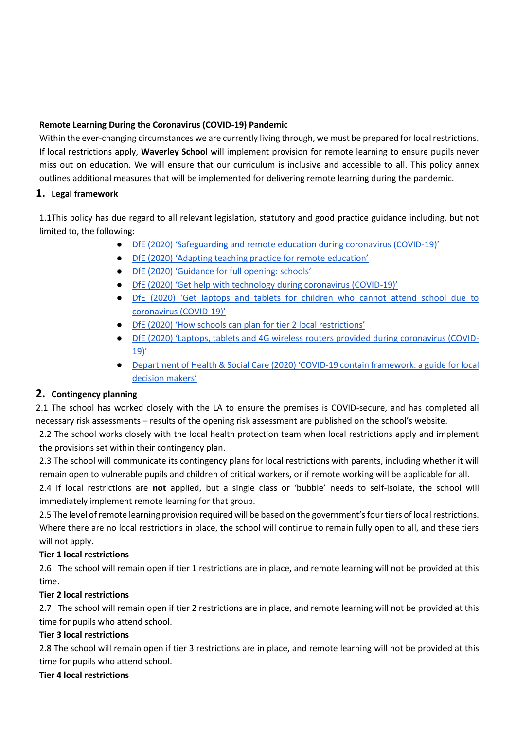## <span id="page-9-0"></span>**Remote Learning During the Coronavirus (COVID-19) Pandemic**

Within the ever-changing circumstances we are currently living through, we must be prepared for local restrictions. If local restrictions apply, **Waverley School** will implement provision for remote learning to ensure pupils never miss out on education. We will ensure that our curriculum is inclusive and accessible to all. This policy annex outlines additional measures that will be implemented for delivering remote learning during the pandemic.

## **1. Legal framework**

1.1This policy has due regard to all relevant legislation, statutory and good practice guidance including, but not limited to, the following:

- [DfE \(2020\) 'Safeguarding and remote education during coronavirus \(COVID](https://www.gov.uk/guidance/safeguarding-and-remote-education-during-coronavirus-covid-19)-19)'
- [DfE \(2020\) 'Adapting teaching practice for remote education'](https://www.gov.uk/guidance/adapting-teaching-practice-for-remote-education)
- [DfE \(2020\) 'Guidance for](https://www.gov.uk/government/publications/actions-for-schools-during-the-coronavirus-outbreak/guidance-for-full-opening-schools) full opening: schools'
- [DfE \(2020\) 'Get help with technology during coronavirus \(COVID](https://www.gov.uk/guidance/get-help-with-technology-for-remote-education-during-coronavirus-covid-19)-19)'
- [DfE \(2020\) 'Get laptops and tablets for children who cannot attend school due to](https://www.gov.uk/guidance/get-laptops-and-tablets-for-children-who-cannot-attend-school-due-to-coronavirus-covid-19)  [coronavirus \(COVID-](https://www.gov.uk/guidance/get-laptops-and-tablets-for-children-who-cannot-attend-school-due-to-coronavirus-covid-19)19)'
- [DfE \(2020\) 'How schools can plan for tier 2 local restrictions'](https://www.gov.uk/government/publications/how-schools-can-plan-for-tier-2-local-restrictions/how-schools-can-plan-for-tier-2-local-restrictions)
- [DfE \(2020\) 'Laptops, tablets and 4G wireless routers provided during coronavirus \(COVID](https://www.gov.uk/guidance/laptops-tablets-and-4g-wireless-routers-provided-during-coronavirus-covid-19)-[19\)'](https://www.gov.uk/guidance/laptops-tablets-and-4g-wireless-routers-provided-during-coronavirus-covid-19)
- Department of Health & Social Care (2020) 'COVID-19 contain framework: a guide for local [decision makers'](https://www.gov.uk/government/organisations/department-of-health-and-social-care)

# **2. Contingency planning**

2.1 The school has worked closely with the LA to ensure the premises is COVID-secure, and has completed all necessary risk assessments – results of the opening risk assessment are published on the school's website.

2.2 The school works closely with the local health protection team when local restrictions apply and implement the provisions set within their contingency plan.

2.3 The school will communicate its contingency plans for local restrictions with parents, including whether it will remain open to vulnerable pupils and children of critical workers, or if remote working will be applicable for all.

2.4 If local restrictions are **not** applied, but a single class or 'bubble' needs to self-isolate, the school will immediately implement remote learning for that group.

2.5 The level of remote learning provision required will be based on the government's four tiers of local restrictions. Where there are no local restrictions in place, the school will continue to remain fully open to all, and these tiers will not apply.

## **Tier 1 local restrictions**

2.6The school will remain open if tier 1 restrictions are in place, and remote learning will not be provided at this time.

## **Tier 2 local restrictions**

2.7The school will remain open if tier 2 restrictions are in place, and remote learning will not be provided at this time for pupils who attend school.

## **Tier 3 local restrictions**

2.8 The school will remain open if tier 3 restrictions are in place, and remote learning will not be provided at this time for pupils who attend school.

## **Tier 4 local restrictions**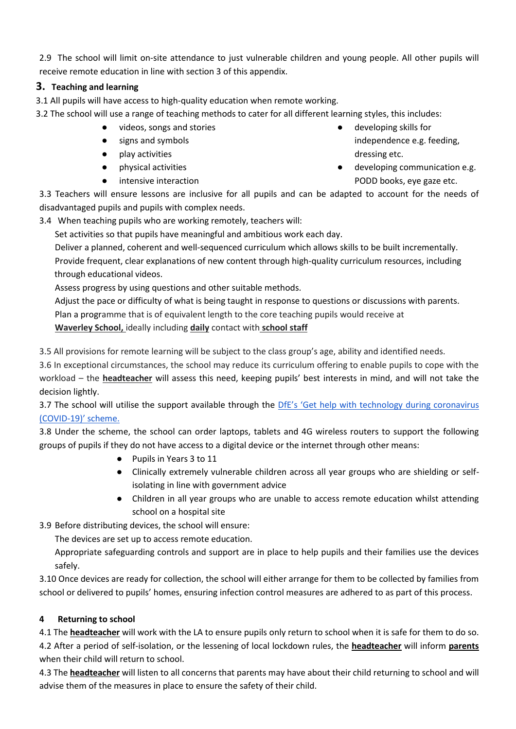2.9 The school will limit on-site attendance to just vulnerable children and young people. All other pupils will receive remote education in line with section 3 of this appendix.

## **3. Teaching and learning**

3.1 All pupils will have access to high-quality education when remote working.

- 3.2 The school will use a range of teaching methods to cater for all different learning styles, this includes:
	- videos, songs and stories
	- signs and symbols
	- play activities
	- physical activities
	- intensive interaction
- developing skills for independence e.g. feeding, dressing etc.
- developing communication e.g. PODD books, eye gaze etc.

3.3 Teachers will ensure lessons are inclusive for all pupils and can be adapted to account for the needs of disadvantaged pupils and pupils with complex needs.

3.4 When teaching pupils who are working remotely, teachers will:

Set activities so that pupils have meaningful and ambitious work each day.

Deliver a planned, coherent and well-sequenced curriculum which allows skills to be built incrementally. Provide frequent, clear explanations of new content through high-quality curriculum resources, including through educational videos.

Assess progress by using questions and other suitable methods.

Adjust the pace or difficulty of what is being taught in response to questions or discussions with parents. Plan a programme that is of equivalent length to the core teaching pupils would receive at **Waverley School,** ideally including **daily** contact with **school staff**

3.5 All provisions for remote learning will be subject to the class group's age, ability and identified needs.

3.6 In exceptional circumstances, the school may reduce its curriculum offering to enable pupils to cope with the workload – the **headteacher** will assess this need, keeping pupils' best interests in mind, and will not take the decision lightly.

3.7 The school will utilise the support available through the [DfE's 'Get help with techno](https://www.gov.uk/find-coronavirus-support)logy during coronavirus (COVID-[19\)' scheme.](https://www.gov.uk/find-coronavirus-support) 

3.8 Under the scheme, the school can order laptops, tablets and 4G wireless routers to support the following groups of pupils if they do not have access to a digital device or the internet through other means:

- Pupils in Years 3 to 11
- Clinically extremely vulnerable children across all year groups who are shielding or selfisolating in line with government advice
- Children in all year groups who are unable to access remote education whilst attending school on a hospital site
- 3.9 Before distributing devices, the school will ensure:

The devices are set up to access remote education.

Appropriate safeguarding controls and support are in place to help pupils and their families use the devices safely.

3.10 Once devices are ready for collection, the school will either arrange for them to be collected by families from school or delivered to pupils' homes, ensuring infection control measures are adhered to as part of this process.

## **4 Returning to school**

4.1 The **headteacher** will work with the LA to ensure pupils only return to school when it is safe for them to do so. 4.2 After a period of self-isolation, or the lessening of local lockdown rules, the **headteacher** will inform **parents** when their child will return to school.

4.3 The **headteacher** will listen to all concerns that parents may have about their child returning to school and will advise them of the measures in place to ensure the safety of their child.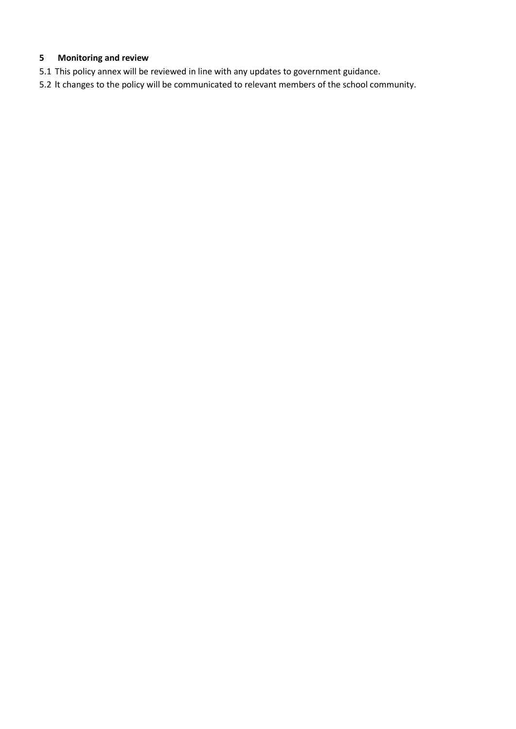## **5 Monitoring and review**

- 5.1 This policy annex will be reviewed in line with any updates to government guidance.
- 5.2 lt changes to the policy will be communicated to relevant members of the school community.